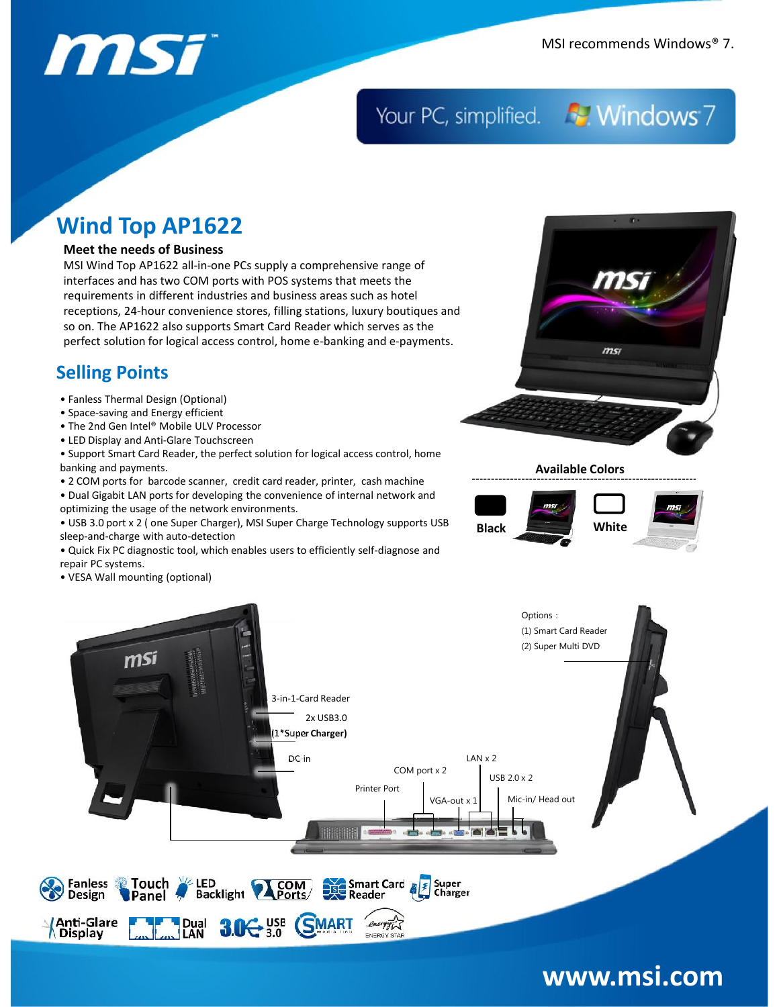## Your PC, simplified. **For Windows** 7

## **Wind Top AP1622**

### **Meet the needs of Business**

MSI Wind Top AP1622 all-in-one PCs supply a comprehensive range of interfaces and has two COM ports with POS systems that meets the requirements in different industries and business areas such as hotel receptions, 24-hour convenience stores, filling stations, luxury boutiques and so on. The AP1622 also supports Smart Card Reader which serves as the perfect solution for logical access control, home e-banking and e-payments.

## **Selling Points**

- Fanless Thermal Design (Optional)
- Space-saving and Energy efficient
- The 2nd Gen Intel® Mobile ULV Processor
- LED Display and Anti-Glare Touchscreen

• Support Smart Card Reader, the perfect solution for logical access control, home banking and payments.

- 2 COM ports for barcode scanner, credit card reader, printer, cash machine
- Dual Gigabit LAN ports for developing the convenience of internal network and optimizing the usage of the network environments.
- USB 3.0 port x 2 ( one Super Charger), MSI Super Charge Technology supports USB sleep-and-charge with auto-detection
- Quick Fix PC diagnostic tool, which enables users to efficiently self-diagnose and repair PC systems.
- VESA Wall mounting (optional)



**Available Colors**





## **www.msi.com**